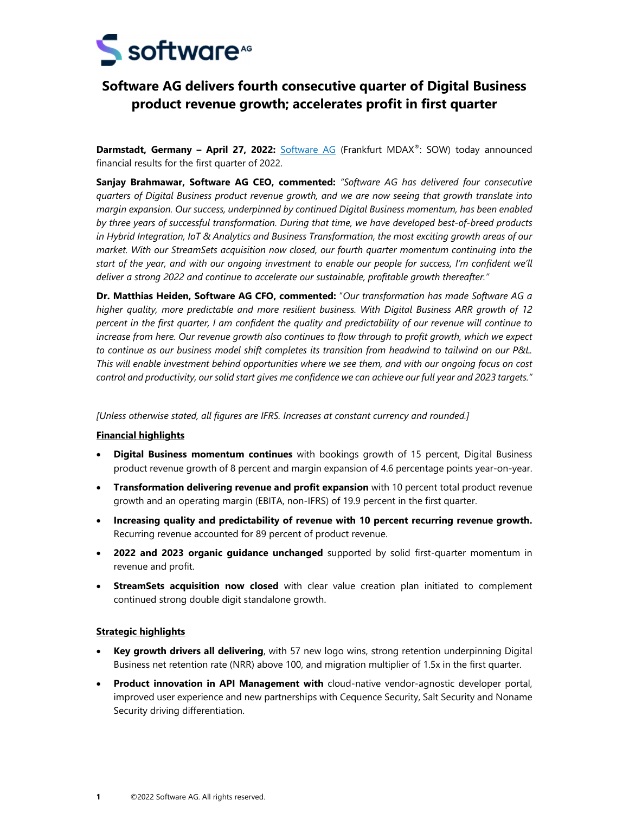

# **Software AG delivers fourth consecutive quarter of Digital Business product revenue growth; accelerates profit in first quarter**

**Darmstadt, Germany – April 27, 2022:** Software AG (Frankfurt MDAX®: SOW) today announced financial results for the first quarter of 2022.

**Sanjay Brahmawar, Software AG CEO, commented:** *"Software AG has delivered four consecutive quarters of Digital Business product revenue growth, and we are now seeing that growth translate into margin expansion. Our success, underpinned by continued Digital Business momentum, has been enabled by three years of successful transformation. During that time, we have developed best-of-breed products in Hybrid Integration, IoT & Analytics and Business Transformation, the most exciting growth areas of our market. With our StreamSets acquisition now closed, our fourth quarter momentum continuing into the start of the year, and with our ongoing investment to enable our people for success, I'm confident we'll deliver a strong 2022 and continue to accelerate our sustainable, profitable growth thereafter."* 

**Dr. Matthias Heiden, Software AG CFO, commented:** "*Our transformation has made Software AG a higher quality, more predictable and more resilient business. With Digital Business ARR growth of 12 percent in the first quarter, I am confident the quality and predictability of our revenue will continue to increase from here. Our revenue growth also continues to flow through to profit growth, which we expect to continue as our business model shift completes its transition from headwind to tailwind on our P&L. This will enable investment behind opportunities where we see them, and with our ongoing focus on cost control and productivity, our solid start gives me confidence we can achieve our full year and 2023 targets."* 

*[Unless otherwise stated, all figures are IFRS. Increases at constant currency and rounded.]* 

# **Financial highlights**

- **Digital Business momentum continues** with bookings growth of 15 percent, Digital Business product revenue growth of 8 percent and margin expansion of 4.6 percentage points year-on-year.
- **Transformation delivering revenue and profit expansion** with 10 percent total product revenue growth and an operating margin (EBITA, non-IFRS) of 19.9 percent in the first quarter.
- **Increasing quality and predictability of revenue with 10 percent recurring revenue growth.**  Recurring revenue accounted for 89 percent of product revenue.
- **2022 and 2023 organic guidance unchanged** supported by solid first-quarter momentum in revenue and profit.
- **StreamSets acquisition now closed** with clear value creation plan initiated to complement continued strong double digit standalone growth.

# **Strategic highlights**

- **Key growth drivers all delivering**, with 57 new logo wins, strong retention underpinning Digital Business net retention rate (NRR) above 100, and migration multiplier of 1.5x in the first quarter.
- **Product innovation in API Management with** cloud-native vendor-agnostic developer portal, improved user experience and new partnerships with Cequence Security, Salt Security and Noname Security driving differentiation.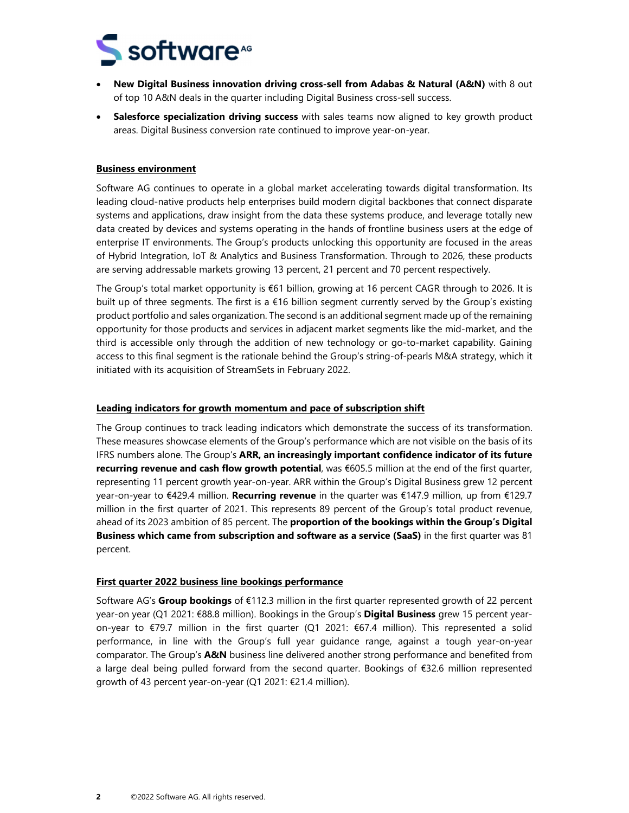

- **New Digital Business innovation driving cross-sell from Adabas & Natural (A&N)** with 8 out of top 10 A&N deals in the quarter including Digital Business cross-sell success.
- **Salesforce specialization driving success** with sales teams now aligned to key growth product areas. Digital Business conversion rate continued to improve year-on-year.

#### **Business environment**

Software AG continues to operate in a global market accelerating towards digital transformation. Its leading cloud-native products help enterprises build modern digital backbones that connect disparate systems and applications, draw insight from the data these systems produce, and leverage totally new data created by devices and systems operating in the hands of frontline business users at the edge of enterprise IT environments. The Group's products unlocking this opportunity are focused in the areas of Hybrid Integration, IoT & Analytics and Business Transformation. Through to 2026, these products are serving addressable markets growing 13 percent, 21 percent and 70 percent respectively.

The Group's total market opportunity is €61 billion, growing at 16 percent CAGR through to 2026. It is built up of three segments. The first is a  $\epsilon$ 16 billion segment currently served by the Group's existing product portfolio and sales organization. The second is an additional segment made up of the remaining opportunity for those products and services in adjacent market segments like the mid-market, and the third is accessible only through the addition of new technology or go-to-market capability. Gaining access to this final segment is the rationale behind the Group's string-of-pearls M&A strategy, which it initiated with its acquisition of StreamSets in February 2022.

#### **Leading indicators for growth momentum and pace of subscription shift**

The Group continues to track leading indicators which demonstrate the success of its transformation. These measures showcase elements of the Group's performance which are not visible on the basis of its IFRS numbers alone. The Group's **ARR, an increasingly important confidence indicator of its future recurring revenue and cash flow growth potential**, was €605.5 million at the end of the first quarter, representing 11 percent growth year-on-year. ARR within the Group's Digital Business grew 12 percent year-on-year to €429.4 million. **Recurring revenue** in the quarter was €147.9 million, up from €129.7 million in the first quarter of 2021. This represents 89 percent of the Group's total product revenue, ahead of its 2023 ambition of 85 percent. The **proportion of the bookings within the Group's Digital Business which came from subscription and software as a service (SaaS)** in the first quarter was 81 percent.

#### **First quarter 2022 business line bookings performance**

Software AG's **Group bookings** of €112.3 million in the first quarter represented growth of 22 percent year-on year (Q1 2021: €88.8 million). Bookings in the Group's **Digital Business** grew 15 percent yearon-year to  $\epsilon$ 79.7 million in the first quarter (Q1 2021:  $\epsilon$ 67.4 million). This represented a solid performance, in line with the Group's full year guidance range, against a tough year-on-year comparator. The Group's **A&N** business line delivered another strong performance and benefited from a large deal being pulled forward from the second quarter. Bookings of €32.6 million represented growth of 43 percent year-on-year (Q1 2021: €21.4 million).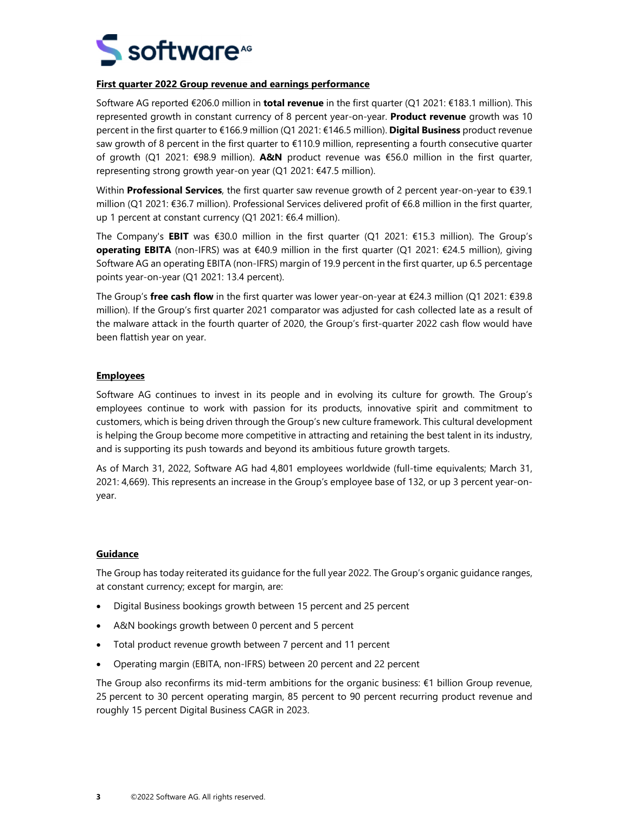

#### **First quarter 2022 Group revenue and earnings performance**

Software AG reported €206.0 million in **total revenue** in the first quarter (Q1 2021: €183.1 million). This represented growth in constant currency of 8 percent year-on-year. **Product revenue** growth was 10 percent in the first quarter to €166.9 million (Q1 2021: €146.5 million). **Digital Business** product revenue saw growth of 8 percent in the first quarter to €110.9 million, representing a fourth consecutive quarter of growth (Q1 2021: €98.9 million). **A&N** product revenue was €56.0 million in the first quarter, representing strong growth year-on year (Q1 2021: €47.5 million).

Within **Professional Services**, the first quarter saw revenue growth of 2 percent year-on-year to €39.1 million (Q1 2021: €36.7 million). Professional Services delivered profit of €6.8 million in the first quarter, up 1 percent at constant currency (Q1 2021: €6.4 million).

The Company's **EBIT** was €30.0 million in the first quarter (Q1 2021: €15.3 million). The Group's **operating EBITA** (non-IFRS) was at €40.9 million in the first quarter (Q1 2021: €24.5 million), giving Software AG an operating EBITA (non-IFRS) margin of 19.9 percent in the first quarter, up 6.5 percentage points year-on-year (Q1 2021: 13.4 percent).

The Group's **free cash flow** in the first quarter was lower year-on-year at €24.3 million (Q1 2021: €39.8 million). If the Group's first quarter 2021 comparator was adjusted for cash collected late as a result of the malware attack in the fourth quarter of 2020, the Group's first-quarter 2022 cash flow would have been flattish year on year.

# **Employees**

Software AG continues to invest in its people and in evolving its culture for growth. The Group's employees continue to work with passion for its products, innovative spirit and commitment to customers, which is being driven through the Group's new culture framework. This cultural development is helping the Group become more competitive in attracting and retaining the best talent in its industry, and is supporting its push towards and beyond its ambitious future growth targets.

As of March 31, 2022, Software AG had 4,801 employees worldwide (full-time equivalents; March 31, 2021: 4,669). This represents an increase in the Group's employee base of 132, or up 3 percent year-onyear.

# **Guidance**

The Group has today reiterated its guidance for the full year 2022. The Group's organic guidance ranges, at constant currency; except for margin, are:

- Digital Business bookings growth between 15 percent and 25 percent
- A&N bookings growth between 0 percent and 5 percent
- Total product revenue growth between 7 percent and 11 percent
- Operating margin (EBITA, non-IFRS) between 20 percent and 22 percent

The Group also reconfirms its mid-term ambitions for the organic business: €1 billion Group revenue, 25 percent to 30 percent operating margin, 85 percent to 90 percent recurring product revenue and roughly 15 percent Digital Business CAGR in 2023.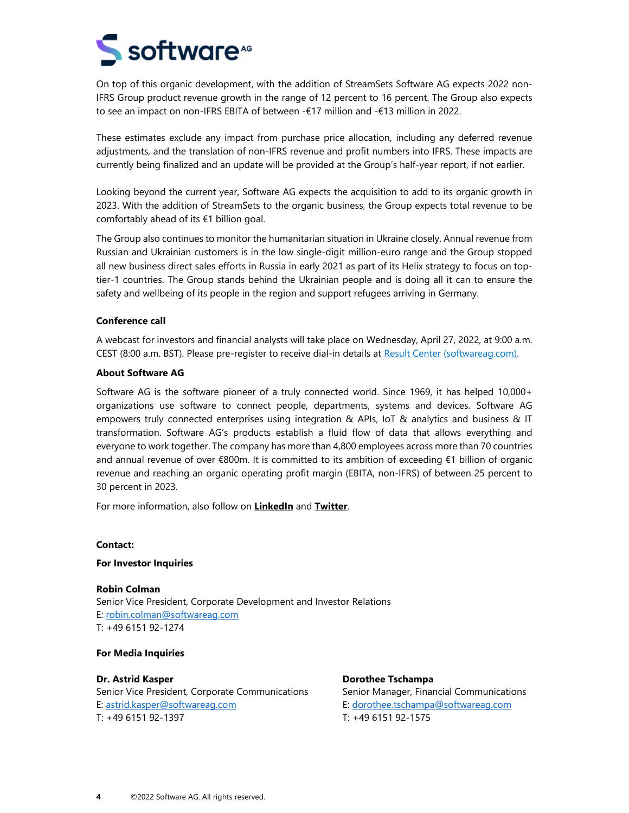

On top of this organic development, with the addition of StreamSets Software AG expects 2022 non-IFRS Group product revenue growth in the range of 12 percent to 16 percent. The Group also expects to see an impact on non-IFRS EBITA of between -€17 million and -€13 million in 2022.

These estimates exclude any impact from purchase price allocation, including any deferred revenue adjustments, and the translation of non-IFRS revenue and profit numbers into IFRS. These impacts are currently being finalized and an update will be provided at the Group's half-year report, if not earlier.

Looking beyond the current year, Software AG expects the acquisition to add to its organic growth in 2023. With the addition of StreamSets to the organic business, the Group expects total revenue to be comfortably ahead of its €1 billion goal.

The Group also continues to monitor the humanitarian situation in Ukraine closely. Annual revenue from Russian and Ukrainian customers is in the low single-digit million-euro range and the Group stopped all new business direct sales efforts in Russia in early 2021 as part of its Helix strategy to focus on toptier-1 countries. The Group stands behind the Ukrainian people and is doing all it can to ensure the safety and wellbeing of its people in the region and support refugees arriving in Germany.

#### **Conference call**

A webcast for investors and financial analysts will take place on Wednesday, April 27, 2022, at 9:00 a.m. CEST (8:00 a.m. BST). Please pre-register to receive dial-in details at Result Center (softwareag.com).

#### **About Software AG**

Software AG is the software pioneer of a truly connected world. Since 1969, it has helped 10,000+ organizations use software to connect people, departments, systems and devices. Software AG empowers truly connected enterprises using integration & APIs, IoT & analytics and business & IT transformation. Software AG's products establish a fluid flow of data that allows everything and everyone to work together. The company has more than 4,800 employees across more than 70 countries and annual revenue of over €800m. It is committed to its ambition of exceeding €1 billion of organic revenue and reaching an organic operating profit margin (EBITA, non-IFRS) of between 25 percent to 30 percent in 2023.

For more information, also follow on **LinkedIn** and **Twitter**.

**Contact:** 

#### **For Investor Inquiries**

**Robin Colman** Senior Vice President, Corporate Development and Investor Relations E: robin.colman@softwareag.com T: +49 6151 92-1274

**For Media Inquiries** 

**Dr. Astrid Kasper** Senior Vice President, Corporate Communications E: astrid.kasper@softwareag.com T: +49 6151 92-1397

**Dorothee Tschampa** Senior Manager, Financial Communications E: dorothee.tschampa@softwareag.com T: +49 6151 92-1575